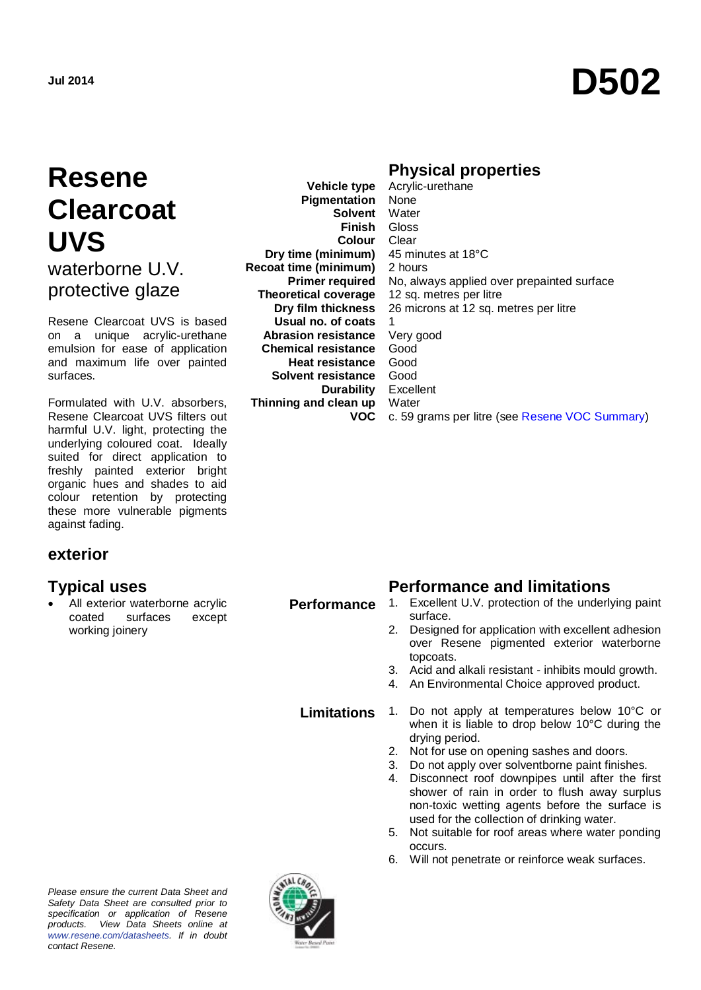## **Resene Clearcoat UVS** waterborne U.V. protective glaze

Resene Clearcoat UVS is based on a unique acrylic-urethane emulsion for ease of application and maximum life over painted surfaces.

Formulated with U.V. absorbers, Resene Clearcoat UVS filters out harmful U.V. light, protecting the underlying coloured coat. Ideally suited for direct application to freshly painted exterior bright organic hues and shades to aid colour retention by protecting these more vulnerable pigments against fading.

#### **exterior**

 All exterior waterborne acrylic coated surfaces except working joinery

**Vehicle type Pigmentation Solvent** Water **Finish** Gloss **Colour Dry time (minimum) Recoat time (minimum) Primer required Theoretical coverage Dry film thickness Usual no. of coats Abrasion resistance Chemical resistance Heat resistance Solvent resistance Durability Thinning and clean up VOC**

#### **Physical properties**

Acrylic-urethane None **Clear** 45 minutes at 18°C 2 hours No, always applied over prepainted surface 12 sq. metres per litre 26 microns at 12 sq. metres per litre 1 Very good Good Good Good Excellent **Water** c. 59 grams per litre (see [Resene VOC Summary\)](http://www.resene.co.nz/archspec/datashts/vocsummary.pdf)

#### **Typical uses Performance and limitations**

- **Performance** 1. Excellent U.V. protection of the underlying paint surface.
	- 2. Designed for application with excellent adhesion over Resene pigmented exterior waterborne topcoats.
	- 3. Acid and alkali resistant inhibits mould growth.
	- 4. An Environmental Choice approved product.

- **Limitations** 1. Do not apply at temperatures below 10°C or when it is liable to drop below 10°C during the drying period.
	- 2. Not for use on opening sashes and doors.
	- 3. Do not apply over solventborne paint finishes.<br>4. Disconnect roof downpipes until after the fi
	- Disconnect roof downpipes until after the first shower of rain in order to flush away surplus non-toxic wetting agents before the surface is used for the collection of drinking water.
	- 5. Not suitable for roof areas where water ponding occurs.
	- 6. Will not penetrate or reinforce weak surfaces.

*Please ensure the current Data Sheet and Safety Data Sheet are consulted prior to specification or application of Resene products. View Data Sheets online at [www.resene.com/datasheets.](http://www.resene.com/datasheets) If in doubt contact Resene.*